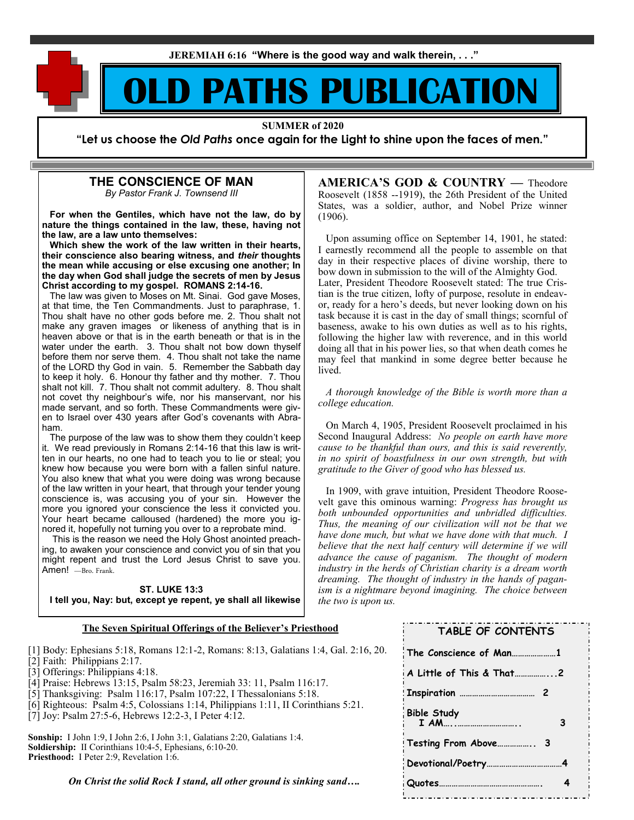**JEREMIAH 6:16 "Where is the good way and walk therein, . . ."**

# **D PATHS PUBLICATION**

**SUMMER of 2020**

**"Let us choose the** *Old Paths* **once again for the Light to shine upon the faces of men."**

## **THE CONSCIENCE OF MAN**

*By Pastor Frank J. Townsend III*

 **For when the Gentiles, which have not the law, do by nature the things contained in the law, these, having not the law, are a law unto themselves:**

 **Which shew the work of the law written in their hearts, their conscience also bearing witness, and** *their* **thoughts the mean while accusing or else excusing one another; In the day when God shall judge the secrets of men by Jesus Christ according to my gospel. ROMANS 2:14-16.**

 The law was given to Moses on Mt. Sinai. God gave Moses, at that time, the Ten Commandments. Just to paraphrase, 1. Thou shalt have no other gods before me. 2. Thou shalt not make any graven images or likeness of anything that is in heaven above or that is in the earth beneath or that is in the water under the earth. 3. Thou shalt not bow down thyself before them nor serve them. 4. Thou shalt not take the name of the LORD thy God in vain. 5. Remember the Sabbath day to keep it holy. 6. Honour thy father and thy mother. 7. Thou shalt not kill. 7. Thou shalt not commit adultery. 8. Thou shalt not covet thy neighbour's wife, nor his manservant, nor his made servant, and so forth. These Commandments were given to Israel over 430 years after God's covenants with Abraham.

 The purpose of the law was to show them they couldn't keep it. We read previously in Romans 2:14-16 that this law is written in our hearts, no one had to teach you to lie or steal; you knew how because you were born with a fallen sinful nature. You also knew that what you were doing was wrong because of the law written in your heart, that through your tender young conscience is, was accusing you of your sin. However the more you ignored your conscience the less it convicted you. Your heart became calloused (hardened) the more you ignored it, hopefully not turning you over to a reprobate mind.

 This is the reason we need the Holy Ghost anointed preaching, to awaken your conscience and convict you of sin that you might repent and trust the Lord Jesus Christ to save you. Amen! -Bro. Frank.

#### **ST. LUKE 13:3**

 **I tell you, Nay: but, except ye repent, ye shall all likewise** 

**AMERICA'S GOD & COUNTRY —** Theodore Roosevelt (1858 --1919), the 26th President of the United States, was a soldier, author, and Nobel Prize winner (1906).

 Upon assuming office on September 14, 1901, he stated: I earnestly recommend all the people to assemble on that day in their respective places of divine worship, there to bow down in submission to the will of the Almighty God. Later, President Theodore Roosevelt stated: The true Cristian is the true citizen, lofty of purpose, resolute in endeavor, ready for a hero's deeds, but never looking down on his task because it is cast in the day of small things; scornful of baseness, awake to his own duties as well as to his rights, following the higher law with reverence, and in this world doing all that in his power lies, so that when death comes he may feel that mankind in some degree better because he lived.

 *A thorough knowledge of the Bible is worth more than a college education.*

 On March 4, 1905, President Roosevelt proclaimed in his Second Inaugural Address: *No people on earth have more cause to be thankful than ours, and this is said reverently, in no spirit of boastfulness in our own strength, but with gratitude to the Giver of good who has blessed us.*

 In 1909, with grave intuition, President Theodore Roosevelt gave this ominous warning: *Progress has brought us both unbounded opportunities and unbridled difficulties. Thus, the meaning of our civilization will not be that we have done much, but what we have done with that much. I believe that the next half century will determine if we will advance the cause of paganism. The thought of modern industry in the herds of Christian charity is a dream worth dreaming. The thought of industry in the hands of paganism is a nightmare beyond imagining. The choice between the two is upon us.* 

#### **The Seven Spiritual Offerings of the Believer's Priesthood**

[1] Body: Ephesians 5:18, Romans 12:1-2, Romans: 8:13, Galatians 1:4, Gal. 2:16, 20.

- [2] Faith: Philippians 2:17.
- [3] Offerings: Philippians 4:18.
- [4] Praise: Hebrews 13:15, Psalm 58:23, Jeremiah 33: 11, Psalm 116:17.
- [5] Thanksgiving: Psalm 116:17, Psalm 107:22, I Thessalonians 5:18.
- [6] Righteous: Psalm 4:5, Colossians 1:14, Philippians 1:11, II Corinthians 5:21.
- [7] Joy: Psalm 27:5-6, Hebrews 12:2-3, I Peter 4:12.

**Sonship:** I John 1:9, I John 2:6, I John 3:1, Galatians 2:20, Galatians 1:4. **Soldiership:** II Corinthians 10:4-5, Ephesians, 6:10-20. Priesthood: I Peter 2:9, Revelation 1:6.

*On Christ the solid Rock I stand, all other ground is sinking sand….*

| <b>TABLE OF CONTENTS</b> |
|--------------------------|
| The Conscience of Man1   |
| A Little of This & That2 |
| 2                        |
| <b>Bible Study</b><br>3  |
|                          |
|                          |
| 4                        |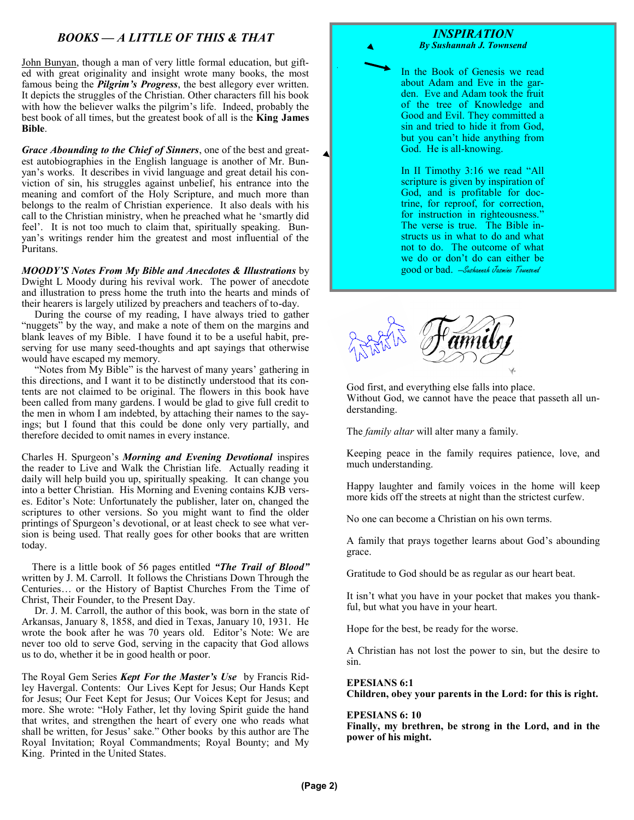## *BOOKS — A LITTLE OF THIS & THAT*

John Bunyan, though a man of very little formal education, but gifted with great originality and insight wrote many books, the most famous being the *Pilgrim's Progress*, the best allegory ever written. It depicts the struggles of the Christian. Other characters fill his book with how the believer walks the pilgrim's life. Indeed, probably the best book of all times, but the greatest book of all is the **King James Bible**.

*Grace Abounding to the Chief of Sinners*, one of the best and greatest autobiographies in the English language is another of Mr. Bunyan's works. It describes in vivid language and great detail his conviction of sin, his struggles against unbelief, his entrance into the meaning and comfort of the Holy Scripture, and much more than belongs to the realm of Christian experience. It also deals with his call to the Christian ministry, when he preached what he 'smartly did feel'. It is not too much to claim that, spiritually speaking. Bunyan's writings render him the greatest and most influential of the Puritans.

*MOODY'S Notes From My Bible and Anecdotes & Illustrations* by Dwight L Moody during his revival work. The power of anecdote and illustration to press home the truth into the hearts and minds of their hearers is largely utilized by preachers and teachers of to-day.

 During the course of my reading, I have always tried to gather "nuggets" by the way, and make a note of them on the margins and blank leaves of my Bible. I have found it to be a useful habit, preserving for use many seed-thoughts and apt sayings that otherwise would have escaped my memory.

 "Notes from My Bible" is the harvest of many years' gathering in this directions, and I want it to be distinctly understood that its contents are not claimed to be original. The flowers in this book have been called from many gardens. I would be glad to give full credit to the men in whom I am indebted, by attaching their names to the sayings; but I found that this could be done only very partially, and therefore decided to omit names in every instance.

Charles H. Spurgeon's *Morning and Evening Devotional* inspires the reader to Live and Walk the Christian life. Actually reading it daily will help build you up, spiritually speaking. It can change you into a better Christian. His Morning and Evening contains KJB verses. Editor's Note: Unfortunately the publisher, later on, changed the scriptures to other versions. So you might want to find the older printings of Spurgeon's devotional, or at least check to see what version is being used. That really goes for other books that are written today.

 There is a little book of 56 pages entitled *"The Trail of Blood"*  written by J. M. Carroll. It follows the Christians Down Through the Centuries… or the History of Baptist Churches From the Time of Christ, Their Founder, to the Present Day.

 Dr. J. M. Carroll, the author of this book, was born in the state of Arkansas, January 8, 1858, and died in Texas, January 10, 1931. He wrote the book after he was 70 years old. Editor's Note: We are never too old to serve God, serving in the capacity that God allows us to do, whether it be in good health or poor.

The Royal Gem Series *Kept For the Master's Use* by Francis Ridley Havergal. Contents: Our Lives Kept for Jesus; Our Hands Kept for Jesus; Our Feet Kept for Jesus; Our Voices Kept for Jesus; and more. She wrote: "Holy Father, let thy loving Spirit guide the hand that writes, and strengthen the heart of every one who reads what shall be written, for Jesus' sake." Other books by this author are The Royal Invitation; Royal Commandments; Royal Bounty; and My King. Printed in the United States.

*INSPIRATION By Sushannah J. Townsend*

In the Book of Genesis we read about Adam and Eve in the garden. Eve and Adam took the fruit of the tree of Knowledge and Good and Evil. They committed a sin and tried to hide it from God, but you can't hide anything from God. He is all-knowing.

In II Timothy 3:16 we read "All scripture is given by inspiration of God, and is profitable for doctrine, for reproof, for correction, for instruction in righteousness." The verse is true. The Bible instructs us in what to do and what not to do. The outcome of what we do or don't do can either be good or bad. —Sushannah Jasmine Townsend



God first, and everything else falls into place. Without God, we cannot have the peace that passeth all understanding.

The *family altar* will alter many a family.

Keeping peace in the family requires patience, love, and much understanding.

Happy laughter and family voices in the home will keep more kids off the streets at night than the strictest curfew.

No one can become a Christian on his own terms.

A family that prays together learns about God's abounding grace.

Gratitude to God should be as regular as our heart beat.

It isn't what you have in your pocket that makes you thankful, but what you have in your heart.

Hope for the best, be ready for the worse.

A Christian has not lost the power to sin, but the desire to sin.

#### **EPESIANS 6:1**

**Children, obey your parents in the Lord: for this is right.** 

#### **EPESIANS 6: 10**

**Finally, my brethren, be strong in the Lord, and in the power of his might.**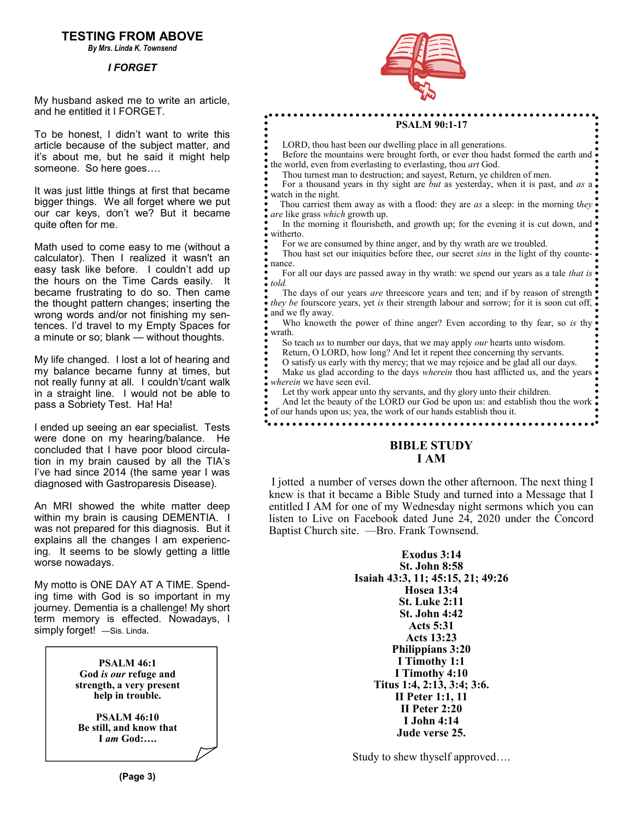## **TESTING FROM ABOVE**

*By Mrs. Linda K. Townsend*

#### *I FORGET*

My husband asked me to write an article, and he entitled it I FORGET.

To be honest, I didn't want to write this article because of the subject matter, and it's about me, but he said it might help someone. So here goes….

It was just little things at first that became bigger things. We all forget where we put our car keys, don't we? But it became quite often for me.

Math used to come easy to me (without a calculator). Then I realized it wasn't an easy task like before. I couldn't add up the hours on the Time Cards easily. It became frustrating to do so. Then came the thought pattern changes; inserting the wrong words and/or not finishing my sentences. I'd travel to my Empty Spaces for a minute or so; blank — without thoughts.

My life changed. I lost a lot of hearing and my balance became funny at times, but not really funny at all. I couldn't/cant walk in a straight line. I would not be able to pass a Sobriety Test. Ha! Ha!

I ended up seeing an ear specialist. Tests were done on my hearing/balance. He concluded that I have poor blood circulation in my brain caused by all the TIA's I've had since 2014 (the same year I was diagnosed with Gastroparesis Disease).

An MRI showed the white matter deep within my brain is causing DEMENTIA. I was not prepared for this diagnosis. But it explains all the changes I am experiencing. It seems to be slowly getting a little worse nowadays.

My motto is ONE DAY AT A TIME. Spending time with God is so important in my journey. Dementia is a challenge! My short term memory is effected. Nowadays, I simply forget! -Sis. Linda.





#### **PSALM 90:1-17**

LORD, thou hast been our dwelling place in all generations.

Before the mountains were brought forth, or ever thou hadst formed the earth and  $\bullet$ the world, even from everlasting to everlasting, thou *art* God.

Thou turnest man to destruction; and sayest, Return, ye children of men.

 For a thousand years in thy sight are *but* as yesterday, when it is past, and *as* a watch in the night.

 Thou carriest them away as with a flood: they are *as* a sleep: in the morning t*hey are* like grass *which* growth up.

In the morning it flourisheth, and growth up; for the evening it is cut down, and witherto.

For we are consumed by thine anger, and by thy wrath are we troubled.

 Thou hast set our iniquities before thee, our secret *sins* in the light of thy countenance.

 For all our days are passed away in thy wrath: we spend our years as a tale *that is told.*

The days of our years *are* threescore years and ten; and if by reason of strength. *they be fourscore years, yet is their strength labour and sorrow; for it is soon cut off, •* and we fly away.

Who knoweth the power of thine anger? Even according to thy fear, so *is* thy  $\bullet$ wrath.

So teach *us* to number our days, that we may apply *our* hearts unto wisdom.

Return, O LORD, how long? And let it repent thee concerning thy servants.

O satisfy us early with thy mercy; that we may rejoice and be glad all our days.

 Make us glad according to the days *wherein* thou hast afflicted us, and the years wherein we have seen evil.

Let thy work appear unto thy servants, and thy glory unto their children.

And let the beauty of the LORD our God be upon us: and establish thou the work. of our hands upon us; yea, the work of our hands establish thou it.

### **BIBLE STUDY I AM**

I jotted a number of verses down the other afternoon. The next thing I knew is that it became a Bible Study and turned into a Message that I entitled I AM for one of my Wednesday night sermons which you can listen to Live on Facebook dated June 24, 2020 under the Concord Baptist Church site. —Bro. Frank Townsend.

> **Exodus 3:14 St. John 8:58 Isaiah 43:3, 11; 45:15, 21; 49:26 Hosea 13:4 St. Luke 2:11 St. John 4:42 Acts 5:31 Acts 13:23 Philippians 3:20 I Timothy 1:1 I Timothy 4:10 Titus 1:4, 2:13, 3:4; 3:6. II Peter 1:1, 11 II Peter 2:20 I John 4:14 Jude verse 25.**

Study to shew thyself approved….